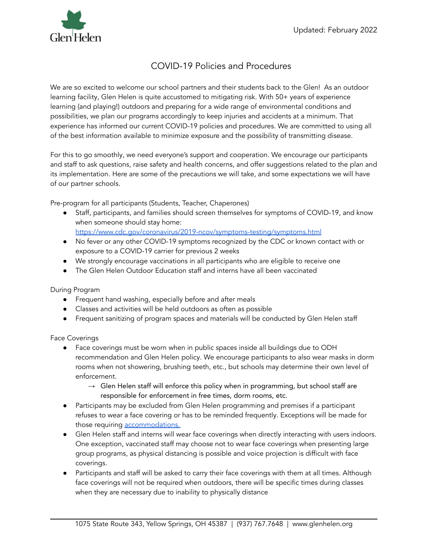

## COVID-19 Policies and Procedures

We are so excited to welcome our school partners and their students back to the Glen! As an outdoor learning facility, Glen Helen is quite accustomed to mitigating risk. With 50+ years of experience learning (and playing!) outdoors and preparing for a wide range of environmental conditions and possibilities, we plan our programs accordingly to keep injuries and accidents at a minimum. That experience has informed our current COVID-19 policies and procedures. We are committed to using all of the best information available to minimize exposure and the possibility of transmitting disease.

For this to go smoothly, we need everyone's support and cooperation. We encourage our participants and staff to ask questions, raise safety and health concerns, and offer suggestions related to the plan and its implementation. Here are some of the precautions we will take, and some expectations we will have of our partner schools.

Pre-program for all participants (Students, Teacher, Chaperones)

- Staff, participants, and families should screen themselves for symptoms of COVID-19, and know when someone should stay home:
	- <https://www.cdc.gov/coronavirus/2019-ncov/symptoms-testing/symptoms.html>
- No fever or any other COVID-19 symptoms recognized by the CDC or known contact with or exposure to a COVID-19 carrier for previous 2 weeks
- We strongly encourage vaccinations in all participants who are eligible to receive one
- The Glen Helen Outdoor Education staff and interns have all been vaccinated

During Program

- Frequent hand washing, especially before and after meals
- Classes and activities will be held outdoors as often as possible
- Frequent sanitizing of program spaces and materials will be conducted by Glen Helen staff

Face Coverings

- Face coverings must be worn when in public spaces inside all buildings due to ODH recommendation and Glen Helen policy. We encourage participants to also wear masks in dorm rooms when not showering, brushing teeth, etc., but schools may determine their own level of enforcement.
	- → Glen Helen staff will enforce this policy when in programming, but school staff are responsible for enforcement in free times, dorm rooms, etc.
- Participants may be excluded from Glen Helen programming and premises if a participant refuses to wear a face covering or has to be reminded frequently. Exceptions will be made for those requiring **accommodations**.
- Glen Helen staff and interns will wear face coverings when directly interacting with users indoors. One exception, vaccinated staff may choose not to wear face coverings when presenting large group programs, as physical distancing is possible and voice projection is difficult with face coverings.
- Participants and staff will be asked to carry their face coverings with them at all times. Although face coverings will not be required when outdoors, there will be specific times during classes when they are necessary due to inability to physically distance